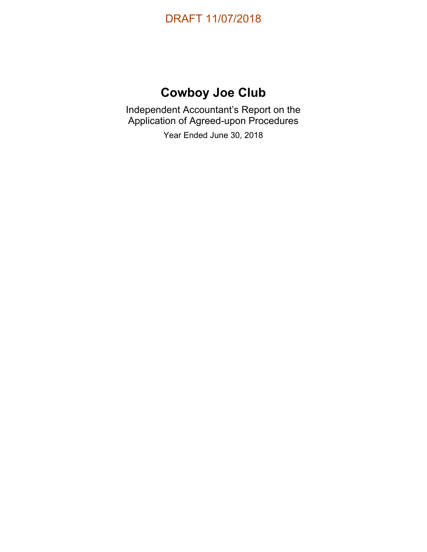

# **Cowboy Joe Club**

Independent Accountant's Report on the Application of Agreed-upon Procedures

Year Ended June 30, 2018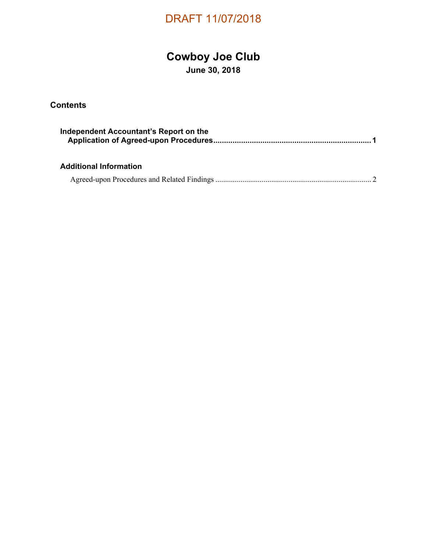# **Cowboy Joe Club**

**June 30, 2018** 

### **Contents**

| Independent Accountant's Report on the |  |
|----------------------------------------|--|
| <b>Additional Information</b>          |  |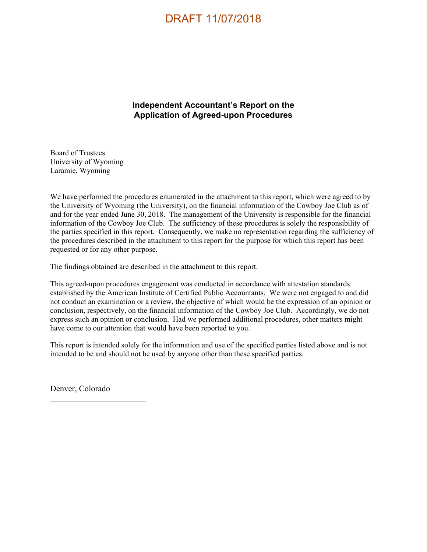#### **Independent Accountant's Report on the Application of Agreed-upon Procedures**

Board of Trustees University of Wyoming Laramie, Wyoming

We have performed the procedures enumerated in the attachment to this report, which were agreed to by the University of Wyoming (the University), on the financial information of the Cowboy Joe Club as of and for the year ended June 30, 2018. The management of the University is responsible for the financial information of the Cowboy Joe Club. The sufficiency of these procedures is solely the responsibility of the parties specified in this report. Consequently, we make no representation regarding the sufficiency of the procedures described in the attachment to this report for the purpose for which this report has been requested or for any other purpose.

The findings obtained are described in the attachment to this report.

This agreed-upon procedures engagement was conducted in accordance with attestation standards established by the American Institute of Certified Public Accountants. We were not engaged to and did not conduct an examination or a review, the objective of which would be the expression of an opinion or conclusion, respectively, on the financial information of the Cowboy Joe Club. Accordingly, we do not express such an opinion or conclusion. Had we performed additional procedures, other matters might have come to our attention that would have been reported to you.

This report is intended solely for the information and use of the specified parties listed above and is not intended to be and should not be used by anyone other than these specified parties.

Denver, Colorado

 $\mathcal{L}_\text{max}$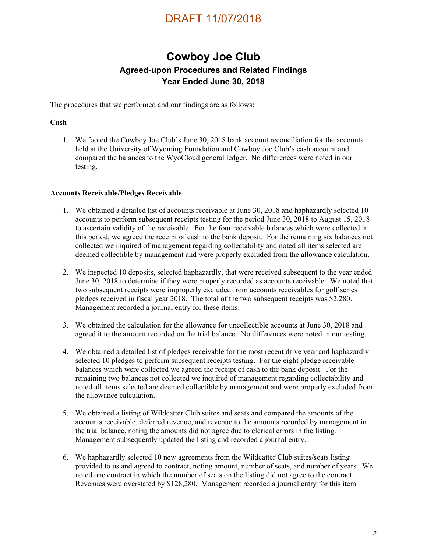### **Cowboy Joe Club Agreed-upon Procedures and Related Findings Year Ended June 30, 2018**

The procedures that we performed and our findings are as follows:

#### **Cash**

1. We footed the Cowboy Joe Club's June 30, 2018 bank account reconciliation for the accounts held at the University of Wyoming Foundation and Cowboy Joe Club's cash account and compared the balances to the WyoCloud general ledger. No differences were noted in our testing.

#### **Accounts Receivable/Pledges Receivable**

- 1. We obtained a detailed list of accounts receivable at June 30, 2018 and haphazardly selected 10 accounts to perform subsequent receipts testing for the period June 30, 2018 to August 15, 2018 to ascertain validity of the receivable. For the four receivable balances which were collected in this period, we agreed the receipt of cash to the bank deposit. For the remaining six balances not collected we inquired of management regarding collectability and noted all items selected are deemed collectible by management and were properly excluded from the allowance calculation.
- 2. We inspected 10 deposits, selected haphazardly, that were received subsequent to the year ended June 30, 2018 to determine if they were properly recorded as accounts receivable. We noted that two subsequent receipts were improperly excluded from accounts receivables for golf series pledges received in fiscal year 2018. The total of the two subsequent receipts was \$2,280. Management recorded a journal entry for these items.
- 3. We obtained the calculation for the allowance for uncollectible accounts at June 30, 2018 and agreed it to the amount recorded on the trial balance. No differences were noted in our testing.
- 4. We obtained a detailed list of pledges receivable for the most recent drive year and haphazardly selected 10 pledges to perform subsequent receipts testing. For the eight pledge receivable balances which were collected we agreed the receipt of cash to the bank deposit. For the remaining two balances not collected we inquired of management regarding collectability and noted all items selected are deemed collectible by management and were properly excluded from the allowance calculation.
- 5. We obtained a listing of Wildcatter Club suites and seats and compared the amounts of the accounts receivable, deferred revenue, and revenue to the amounts recorded by management in the trial balance, noting the amounts did not agree due to clerical errors in the listing. Management subsequently updated the listing and recorded a journal entry.
- 6. We haphazardly selected 10 new agreements from the Wildcatter Club suites/seats listing provided to us and agreed to contract, noting amount, number of seats, and number of years. We noted one contract in which the number of seats on the listing did not agree to the contract. Revenues were overstated by \$128,280. Management recorded a journal entry for this item.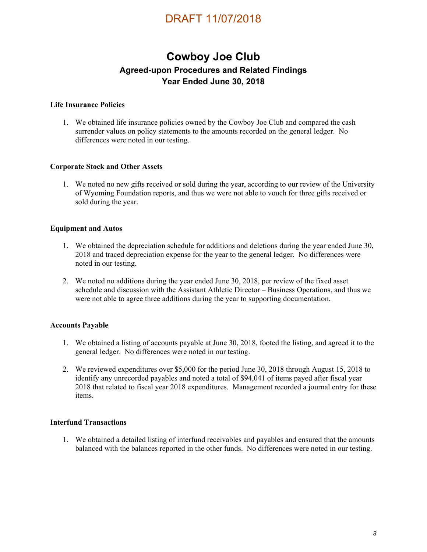### **Cowboy Joe Club Agreed-upon Procedures and Related Findings Year Ended June 30, 2018**

#### **Life Insurance Policies**

1. We obtained life insurance policies owned by the Cowboy Joe Club and compared the cash surrender values on policy statements to the amounts recorded on the general ledger. No differences were noted in our testing.

#### **Corporate Stock and Other Assets**

1. We noted no new gifts received or sold during the year, according to our review of the University of Wyoming Foundation reports, and thus we were not able to vouch for three gifts received or sold during the year.

#### **Equipment and Autos**

- 1. We obtained the depreciation schedule for additions and deletions during the year ended June 30, 2018 and traced depreciation expense for the year to the general ledger. No differences were noted in our testing.
- 2. We noted no additions during the year ended June 30, 2018, per review of the fixed asset schedule and discussion with the Assistant Athletic Director – Business Operations, and thus we were not able to agree three additions during the year to supporting documentation.

#### **Accounts Payable**

- 1. We obtained a listing of accounts payable at June 30, 2018, footed the listing, and agreed it to the general ledger. No differences were noted in our testing.
- 2. We reviewed expenditures over \$5,000 for the period June 30, 2018 through August 15, 2018 to identify any unrecorded payables and noted a total of \$94,041 of items payed after fiscal year 2018 that related to fiscal year 2018 expenditures. Management recorded a journal entry for these items.

#### **Interfund Transactions**

1. We obtained a detailed listing of interfund receivables and payables and ensured that the amounts balanced with the balances reported in the other funds. No differences were noted in our testing.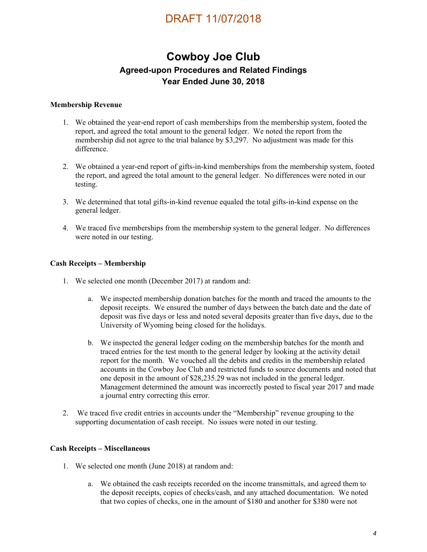### **Cowboy Joe Club Agreed-upon Procedures and Related Findings Year Ended June 30, 2018**

#### **Membership Revenue**

- 1. We obtained the year-end report of cash memberships from the membership system, footed the report, and agreed the total amount to the general ledger. We noted the report from the membership did not agree to the trial balance by \$3,297. No adjustment was made for this difference.
- 2. We obtained a year-end report of gifts-in-kind memberships from the membership system, footed the report, and agreed the total amount to the general ledger. No differences were noted in our testing.
- 3. We determined that total gifts-in-kind revenue equaled the total gifts-in-kind expense on the general ledger.
- 4. We traced five memberships from the membership system to the general ledger. No differences were noted in our testing.

#### **Cash Receipts – Membership**

- 1. We selected one month (December 2017) at random and:
	- a. We inspected membership donation batches for the month and traced the amounts to the deposit receipts. We ensured the number of days between the batch date and the date of deposit was five days or less and noted several deposits greater than five days, due to the University of Wyoming being closed for the holidays.
	- b. We inspected the general ledger coding on the membership batches for the month and traced entries for the test month to the general ledger by looking at the activity detail report for the month. We vouched all the debits and credits in the membership related accounts in the Cowboy Joe Club and restricted funds to source documents and noted that one deposit in the amount of \$28,235.29 was not included in the general ledger. Management determined the amount was incorrectly posted to fiscal year 2017 and made a journal entry correcting this error.
- 2. We traced five credit entries in accounts under the "Membership" revenue grouping to the supporting documentation of cash receipt. No issues were noted in our testing.

#### **Cash Receipts – Miscellaneous**

- 1. We selected one month (June 2018) at random and:
	- a. We obtained the cash receipts recorded on the income transmittals, and agreed them to the deposit receipts, copies of checks/cash, and any attached documentation. We noted that two copies of checks, one in the amount of \$180 and another for \$380 were not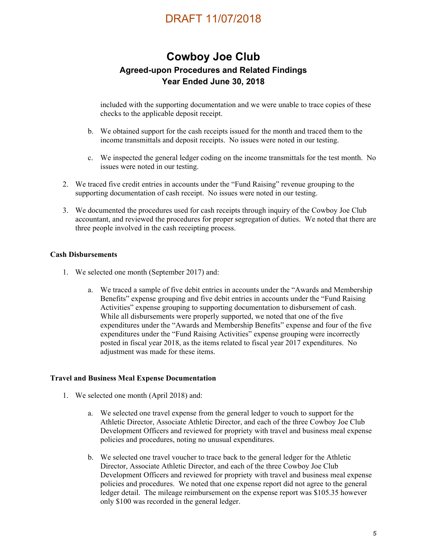### **Cowboy Joe Club Agreed-upon Procedures and Related Findings Year Ended June 30, 2018**

included with the supporting documentation and we were unable to trace copies of these checks to the applicable deposit receipt.

- b. We obtained support for the cash receipts issued for the month and traced them to the income transmittals and deposit receipts. No issues were noted in our testing.
- c. We inspected the general ledger coding on the income transmittals for the test month. No issues were noted in our testing.
- 2. We traced five credit entries in accounts under the "Fund Raising" revenue grouping to the supporting documentation of cash receipt. No issues were noted in our testing.
- 3. We documented the procedures used for cash receipts through inquiry of the Cowboy Joe Club accountant, and reviewed the procedures for proper segregation of duties. We noted that there are three people involved in the cash receipting process.

#### **Cash Disbursements**

- 1. We selected one month (September 2017) and:
	- a. We traced a sample of five debit entries in accounts under the "Awards and Membership Benefits" expense grouping and five debit entries in accounts under the "Fund Raising Activities" expense grouping to supporting documentation to disbursement of cash. While all disbursements were properly supported, we noted that one of the five expenditures under the "Awards and Membership Benefits" expense and four of the five expenditures under the "Fund Raising Activities" expense grouping were incorrectly posted in fiscal year 2018, as the items related to fiscal year 2017 expenditures. No adjustment was made for these items.

#### **Travel and Business Meal Expense Documentation**

- 1. We selected one month (April 2018) and:
	- a. We selected one travel expense from the general ledger to vouch to support for the Athletic Director, Associate Athletic Director, and each of the three Cowboy Joe Club Development Officers and reviewed for propriety with travel and business meal expense policies and procedures, noting no unusual expenditures.
	- b. We selected one travel voucher to trace back to the general ledger for the Athletic Director, Associate Athletic Director, and each of the three Cowboy Joe Club Development Officers and reviewed for propriety with travel and business meal expense policies and procedures. We noted that one expense report did not agree to the general ledger detail. The mileage reimbursement on the expense report was \$105.35 however only \$100 was recorded in the general ledger.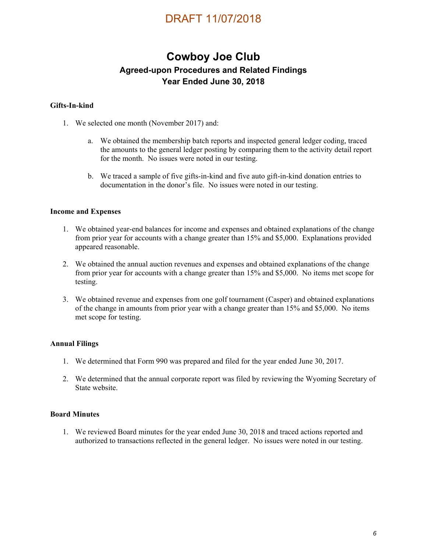### **Cowboy Joe Club Agreed-upon Procedures and Related Findings Year Ended June 30, 2018**

#### **Gifts-In-kind**

- 1. We selected one month (November 2017) and:
	- a. We obtained the membership batch reports and inspected general ledger coding, traced the amounts to the general ledger posting by comparing them to the activity detail report for the month. No issues were noted in our testing.
	- b. We traced a sample of five gifts-in-kind and five auto gift-in-kind donation entries to documentation in the donor's file. No issues were noted in our testing.

#### **Income and Expenses**

- 1. We obtained year-end balances for income and expenses and obtained explanations of the change from prior year for accounts with a change greater than 15% and \$5,000. Explanations provided appeared reasonable.
- 2. We obtained the annual auction revenues and expenses and obtained explanations of the change from prior year for accounts with a change greater than 15% and \$5,000. No items met scope for testing.
- 3. We obtained revenue and expenses from one golf tournament (Casper) and obtained explanations of the change in amounts from prior year with a change greater than 15% and \$5,000. No items met scope for testing.

#### **Annual Filings**

- 1. We determined that Form 990 was prepared and filed for the year ended June 30, 2017.
- 2. We determined that the annual corporate report was filed by reviewing the Wyoming Secretary of State website.

#### **Board Minutes**

1. We reviewed Board minutes for the year ended June 30, 2018 and traced actions reported and authorized to transactions reflected in the general ledger. No issues were noted in our testing.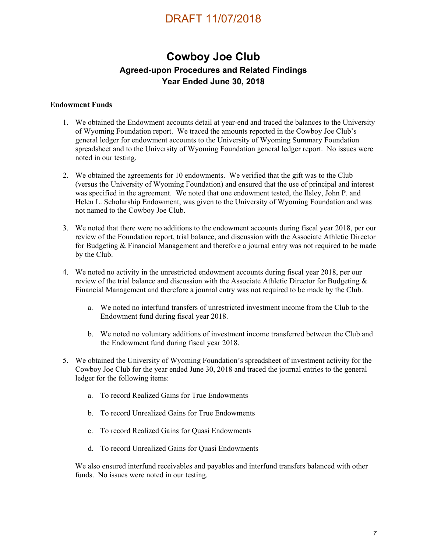### **Cowboy Joe Club Agreed-upon Procedures and Related Findings Year Ended June 30, 2018**

#### **Endowment Funds**

- 1. We obtained the Endowment accounts detail at year-end and traced the balances to the University of Wyoming Foundation report. We traced the amounts reported in the Cowboy Joe Club's general ledger for endowment accounts to the University of Wyoming Summary Foundation spreadsheet and to the University of Wyoming Foundation general ledger report. No issues were noted in our testing.
- 2. We obtained the agreements for 10 endowments. We verified that the gift was to the Club (versus the University of Wyoming Foundation) and ensured that the use of principal and interest was specified in the agreement. We noted that one endowment tested, the Ilsley, John P. and Helen L. Scholarship Endowment, was given to the University of Wyoming Foundation and was not named to the Cowboy Joe Club.
- 3. We noted that there were no additions to the endowment accounts during fiscal year 2018, per our review of the Foundation report, trial balance, and discussion with the Associate Athletic Director for Budgeting & Financial Management and therefore a journal entry was not required to be made by the Club.
- 4. We noted no activity in the unrestricted endowment accounts during fiscal year 2018, per our review of the trial balance and discussion with the Associate Athletic Director for Budgeting & Financial Management and therefore a journal entry was not required to be made by the Club.
	- a. We noted no interfund transfers of unrestricted investment income from the Club to the Endowment fund during fiscal year 2018.
	- b. We noted no voluntary additions of investment income transferred between the Club and the Endowment fund during fiscal year 2018.
- 5. We obtained the University of Wyoming Foundation's spreadsheet of investment activity for the Cowboy Joe Club for the year ended June 30, 2018 and traced the journal entries to the general ledger for the following items:
	- a. To record Realized Gains for True Endowments
	- b. To record Unrealized Gains for True Endowments
	- c. To record Realized Gains for Quasi Endowments
	- d. To record Unrealized Gains for Quasi Endowments

We also ensured interfund receivables and payables and interfund transfers balanced with other funds. No issues were noted in our testing.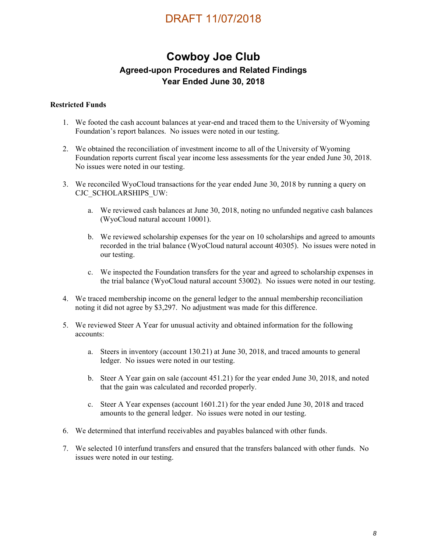### **Cowboy Joe Club Agreed-upon Procedures and Related Findings Year Ended June 30, 2018**

#### **Restricted Funds**

- 1. We footed the cash account balances at year-end and traced them to the University of Wyoming Foundation's report balances. No issues were noted in our testing.
- 2. We obtained the reconciliation of investment income to all of the University of Wyoming Foundation reports current fiscal year income less assessments for the year ended June 30, 2018. No issues were noted in our testing.
- 3. We reconciled WyoCloud transactions for the year ended June 30, 2018 by running a query on CJC\_SCHOLARSHIPS\_UW:
	- a. We reviewed cash balances at June 30, 2018, noting no unfunded negative cash balances (WyoCloud natural account 10001).
	- b. We reviewed scholarship expenses for the year on 10 scholarships and agreed to amounts recorded in the trial balance (WyoCloud natural account 40305). No issues were noted in our testing.
	- c. We inspected the Foundation transfers for the year and agreed to scholarship expenses in the trial balance (WyoCloud natural account 53002). No issues were noted in our testing.
- 4. We traced membership income on the general ledger to the annual membership reconciliation noting it did not agree by \$3,297. No adjustment was made for this difference.
- 5. We reviewed Steer A Year for unusual activity and obtained information for the following accounts:
	- a. Steers in inventory (account 130.21) at June 30, 2018, and traced amounts to general ledger. No issues were noted in our testing.
	- b. Steer A Year gain on sale (account 451.21) for the year ended June 30, 2018, and noted that the gain was calculated and recorded properly.
	- c. Steer A Year expenses (account 1601.21) for the year ended June 30, 2018 and traced amounts to the general ledger. No issues were noted in our testing.
- 6. We determined that interfund receivables and payables balanced with other funds.
- 7. We selected 10 interfund transfers and ensured that the transfers balanced with other funds. No issues were noted in our testing.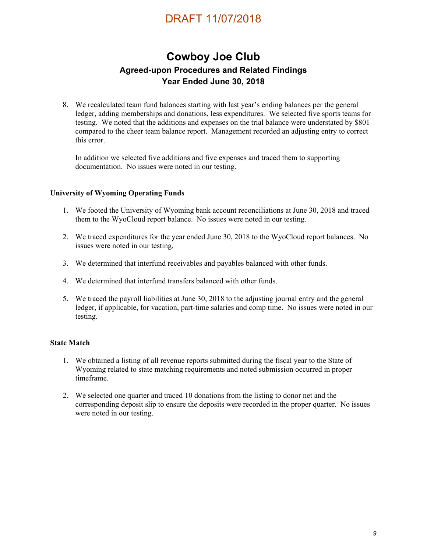### **Cowboy Joe Club Agreed-upon Procedures and Related Findings Year Ended June 30, 2018**

8. We recalculated team fund balances starting with last year's ending balances per the general ledger, adding memberships and donations, less expenditures. We selected five sports teams for testing. We noted that the additions and expenses on the trial balance were understated by \$801 compared to the cheer team balance report. Management recorded an adjusting entry to correct this error.

In addition we selected five additions and five expenses and traced them to supporting documentation. No issues were noted in our testing.

#### **University of Wyoming Operating Funds**

- 1. We footed the University of Wyoming bank account reconciliations at June 30, 2018 and traced them to the WyoCloud report balance. No issues were noted in our testing.
- 2. We traced expenditures for the year ended June 30, 2018 to the WyoCloud report balances. No issues were noted in our testing.
- 3. We determined that interfund receivables and payables balanced with other funds.
- 4. We determined that interfund transfers balanced with other funds.
- 5. We traced the payroll liabilities at June 30, 2018 to the adjusting journal entry and the general ledger, if applicable, for vacation, part-time salaries and comp time. No issues were noted in our testing.

#### **State Match**

- 1. We obtained a listing of all revenue reports submitted during the fiscal year to the State of Wyoming related to state matching requirements and noted submission occurred in proper timeframe.
- 2. We selected one quarter and traced 10 donations from the listing to donor net and the corresponding deposit slip to ensure the deposits were recorded in the proper quarter. No issues were noted in our testing.